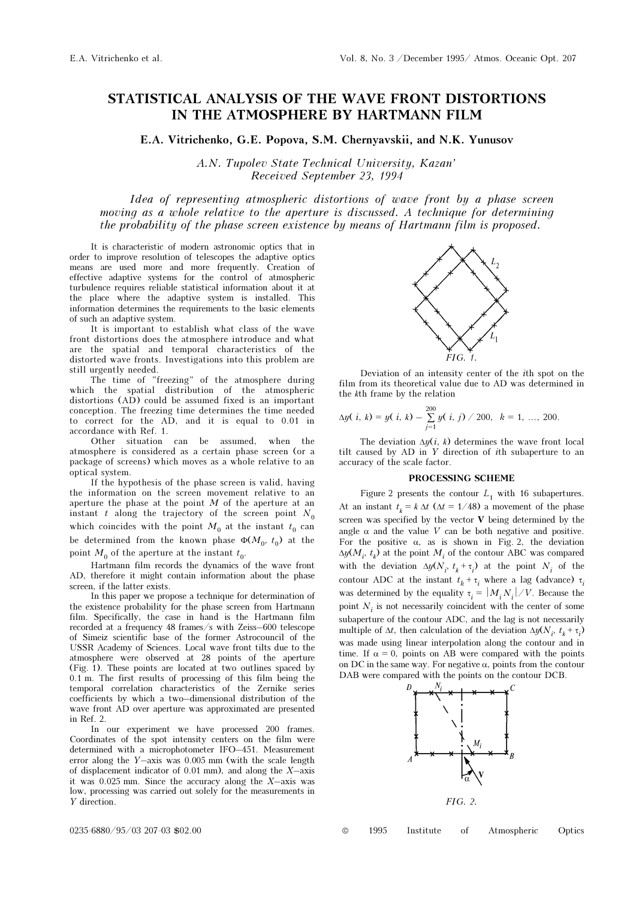## STATISTICAL ANALYSIS OF THE WAVE FRONT DISTORTIONS IN THE ATMOSPHERE BY HARTMANN FILM

E.A. Vitrichenko, G.E. Popova, S.M. Chernyavskii, and N.K. Yunusov

A.N. Tupolev State Technical University, Kazan' Received September 23, 1994

Idea of representing atmospheric distortions of wave front by a phase screen moving as a whole relative to the aperture is discussed. A technique for determining the probability of the phase screen existence by means of Hartmann film is proposed.

It is characteristic of modern astronomic optics that in order to improve resolution of telescopes the adaptive optics means are used more and more frequently. Creation of effective adaptive systems for the control of atmospheric turbulence requires reliable statistical information about it at the place where the adaptive system is installed. This information determines the requirements to the basic elements of such an adaptive system.

It is important to establish what class of the wave front distortions does the atmosphere introduce and what are the spatial and temporal characteristics of the distorted wave fronts. Investigations into this problem are still urgently needed.

The time of "freezing" of the atmosphere during which the spatial distribution of the atmospheric distortions (AD) could be assumed fixed is an important conception. The freezing time determines the time needed to correct for the AD, and it is equal to 0.01 in accordance with Ref. 1.

Other situation can be assumed, when the atmosphere is considered as a certain phase screen (or a package of screens) which moves as a whole relative to an optical system.

If the hypothesis of the phase screen is valid, having the information on the screen movement relative to an aperture the phase at the point  $M$  of the aperture at an instant t along the trajectory of the screen point  $N_0$ which coincides with the point  $M_0$  at the instant  $t_0$  can be determined from the known phase  $\Phi(M_0, t_0)$  at the point  $M_0$  of the aperture at the instant  $t_0$ .

Hartmann film records the dynamics of the wave front AD, therefore it might contain information about the phase screen, if the latter exists.

In this paper we propose a technique for determination of the existence probability for the phase screen from Hartmann film. Specifically, the case in hand is the Hartmann film recorded at a frequency 48 frames/s with Zeiss–600 telescope of Simeiz scientific base of the former Astrocouncil of the USSR Academy of Sciences. Local wave front tilts due to the atmosphere were observed at 28 points of the aperture (Fig. 1). These points are located at two outlines spaced by 0.1 m. The first results of processing of this film being the temporal correlation characteristics of the Zernike series coefficients by which a two–dimensional distribution of the wave front AD over aperture was approximated are presented in Ref. 2.

In our experiment we have processed 200 frames. Coordinates of the spot intensity centers on the film were determined with a microphotometer IFO–451. Measurement error along the Y–axis was 0.005 mm (with the scale length of displacement indicator of 0.01 mm), and along the  $X$ –axis it was  $0.025$  mm. Since the accuracy along the  $X$ -axis was low, processing was carried out solely for the measurements in Y direction.



Deviation of an intensity center of the ith spot on the film from its theoretical value due to AD was determined in the kth frame by the relation

$$
\Delta y(\,i,\,k)=y(\,i,\,k)-\sum_{j=1}^{200}y(\,i,\,j)\,\big/\,200,\ \,k=1,\,...,\,200.
$$

The deviation  $\Delta y(i, k)$  determines the wave front local tilt caused by AD in Y direction of ith subaperture to an accuracy of the scale factor.

## PROCESSING SCHEME

Figure 2 presents the contour  $L_1$  with 16 subapertures. At an instant  $t_k = k \Delta t$  ( $\Delta t = 1/48$ ) a movement of the phase screen was specified by the vector  $V$  being determined by the angle  $\alpha$  and the value V can be both negative and positive. For the positive  $\alpha$ , as is shown in Fig. 2, the deviation  $\Delta y(M_i^{},\;t_k^{})$  at the point  $M_i^{}$  of the contour ABC was compared with the deviation  $\Delta y(N_i, t_k + \tau_i)$  at the point  $N_i$  of the contour ADC at the instant  $t_k + \tau_i$  where a lag (advance)  $\tau_i$ was determined by the equality  $\tau_i = |M_i N_i| / V$ . Because the point  $\boldsymbol{N}_i$  is not necessarily coincident with the center of some subaperture of the contour ADC, and the lag is not necessarily multiple of  $\Delta t$ , then calculation of the deviation  $\Delta y(N_i, t_k + \tau_i)$ was made using linear interpolation along the contour and in time. If  $\alpha = 0$ , points on AB were compared with the points on DC in the same way. For negative  $\alpha$ , points from the contour DAB were compared with the points on the contour DCB.



0235-6880/95/03 207-03 \$02.00 © 1995 Institute of Atmospheric Optics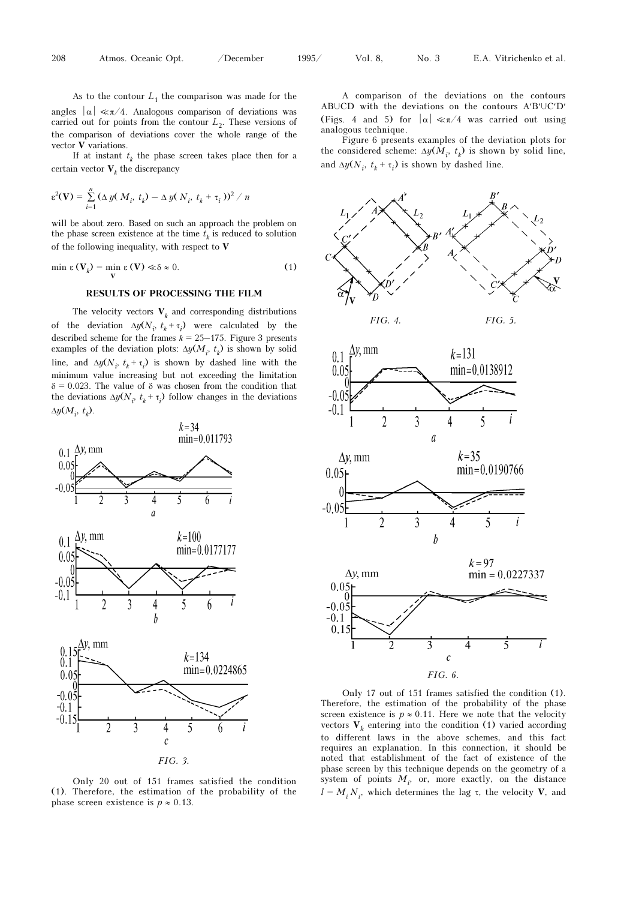As to the contour  $L_1$  the comparison was made for the angles  $|\alpha| \ll \pi/4$ . Analogous comparison of deviations was carried out for points from the contour  $L<sub>2</sub>$ . These versions of the comparison of deviations cover the whole range of the vector V variations.

If at instant  $t_k$  the phase screen takes place then for a certain vector  $V_k$  the discrepancy

$$
\varepsilon^2(\mathbf{V}) = \sum_{i=1}^n (\Delta y(M_i, t_k) - \Delta y(N_i, t_k + \tau_i))^2 / n
$$

will be about zero. Based on such an approach the problem on the phase screen existence at the time  $\hat{t}_k$  is reduced to solution of the following inequality, with respect to  ${\bf V}$ 

$$
\min \varepsilon \left( \mathbf{V}_{k} \right) = \min_{\mathbf{V}} \varepsilon \left( \mathbf{V} \right) \ll \delta \approx 0. \tag{1}
$$

## RESULTS OF PROCESSING THE FILM

The velocity vectors  $V_k$  and corresponding distributions of the deviation  $\Delta y(N_i, t_k + \tau_i)$  were calculated by the described scheme for the frames  $k = 25-175$ . Figure 3 presents examples of the deviation plots:  $\Delta y(M_i, t_k)$  is shown by solid line, and  $\Delta y(N_i, t_k + \tau_i)$  is shown by dashed line with the minimum value increasing but not exceeding the limitation  $\delta = 0.023$ . The value of  $\delta$  was chosen from the condition that the deviations  $\Delta y(N_i, t_k + \tau_i)$  follow changes in the deviations  $\Delta y(M_i, t_k)$ .



Only 20 out of 151 frames satisfied the condition (1). Therefore, the estimation of the probability of the phase screen existence is  $p \approx 0.13$ .

A comparison of the deviations on the contours ABUCD with the deviations on the contours  $A'B'U C'D'$ (Figs. 4 and 5) for  $|\alpha| \ll \pi/4$  was carried out using analogous technique.

Figure 6 presents examples of the deviation plots for the considered scheme:  $\Delta y(M_i, t_k)$  is shown by solid line, and  $\Delta y(N_i, t_k + \tau_i)$  is shown by dashed line.



Only 17 out of 151 frames satisfied the condition (1). Therefore, the estimation of the probability of the phase screen existence is  $p \approx 0.11$ . Here we note that the velocity vectors  $V_k$  entering into the condition (1) varied according to different laws in the above schemes, and this fact requires an explanation. In this connection, it should be noted that establishment of the fact of existence of the phase screen by this technique depends on the geometry of a system of points  $M_i$ , or, more exactly, on the distance  $l = M_i N_i$ , which determines the lag τ, the velocity V, and